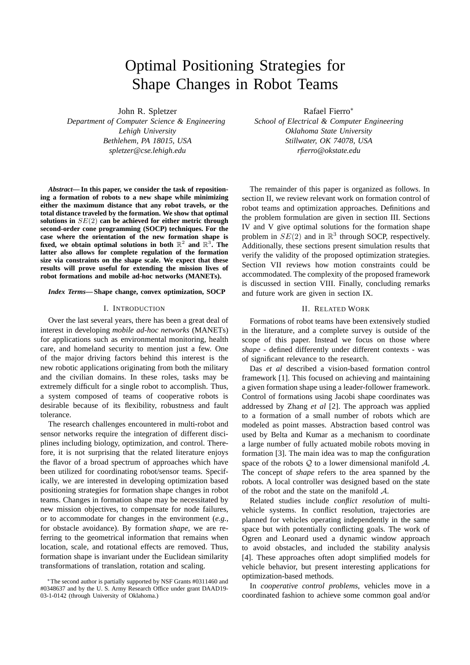# Optimal Positioning Strategies for Shape Changes in Robot Teams

John R. Spletzer

*Department of Computer Science & Engineering Lehigh University Bethlehem, PA 18015, USA spletzer@cse.lehigh.edu*

*Abstract***— In this paper, we consider the task of repositioning a formation of robots to a new shape while minimizing either the maximum distance that any robot travels, or the total distance traveled by the formation. We show that optimal solutions in** SE(2) **can be achieved for either metric through second-order cone programming (SOCP) techniques. For the case where the orientation of the new formation shape is** fixed, we obtain optimal solutions in both  $\mathbb{R}^2$  and  $\mathbb{R}^3$ . The **latter also allows for complete regulation of the formation size via constraints on the shape scale. We expect that these results will prove useful for extending the mission lives of robot formations and mobile ad-hoc networks (MANETs).**

## *Index Terms***— Shape change, convex optimization, SOCP**

## I. INTRODUCTION

Over the last several years, there has been a great deal of interest in developing *mobile ad-hoc networks* (MANETs) for applications such as environmental monitoring, health care, and homeland security to mention just a few. One of the major driving factors behind this interest is the new robotic applications originating from both the military and the civilian domains. In these roles, tasks may be extremely difficult for a single robot to accomplish. Thus, a system composed of teams of cooperative robots is desirable because of its flexibility, robustness and fault tolerance.

The research challenges encountered in multi-robot and sensor networks require the integration of different disciplines including biology, optimization, and control. Therefore, it is not surprising that the related literature enjoys the flavor of a broad spectrum of approaches which have been utilized for coordinating robot/sensor teams. Specifically, we are interested in developing optimization based positioning strategies for formation shape changes in robot teams. Changes in formation shape may be necessitated by new mission objectives, to compensate for node failures, or to accommodate for changes in the environment (*e.g.*, for obstacle avoidance). By formation *shape*, we are referring to the geometrical information that remains when location, scale, and rotational effects are removed. Thus, formation shape is invariant under the Euclidean similarity transformations of translation, rotation and scaling.

Rafael Fierro<sup>∗</sup>

*School of Electrical & Computer Engineering Oklahoma State University Stillwater, OK 74078, USA rfierro@okstate.edu*

The remainder of this paper is organized as follows. In section II, we review relevant work on formation control of robot teams and optimization approaches. Definitions and the problem formulation are given in section III. Sections IV and V give optimal solutions for the formation shape problem in  $SE(2)$  and in  $\mathbb{R}^3$  through SOCP, respectively. Additionally, these sections present simulation results that verify the validity of the proposed optimization strategies. Section VII reviews how motion constraints could be accommodated. The complexity of the proposed framework is discussed in section VIII. Finally, concluding remarks and future work are given in section IX.

## II. RELATED WORK

Formations of robot teams have been extensively studied in the literature, and a complete survey is outside of the scope of this paper. Instead we focus on those where *shape* - defined differently under different contexts - was of significant relevance to the research.

Das *et al* described a vision-based formation control framework [1]. This focused on achieving and maintaining a given formation shape using a leader-follower framework. Control of formations using Jacobi shape coordinates was addressed by Zhang *et al* [2]. The approach was applied to a formation of a small number of robots which are modeled as point masses. Abstraction based control was used by Belta and Kumar as a mechanism to coordinate a large number of fully actuated mobile robots moving in formation [3]. The main idea was to map the configuration space of the robots  $Q$  to a lower dimensional manifold  $A$ . The concept of *shape* refers to the area spanned by the robots. A local controller was designed based on the state of the robot and the state on the manifold A.

Related studies include *conflict resolution* of multivehicle systems. In conflict resolution, trajectories are planned for vehicles operating independently in the same space but with potentially conflicting goals. The work of Ogren and Leonard used a dynamic window approach to avoid obstacles, and included the stability analysis [4]. These approaches often adopt simplified models for vehicle behavior, but present interesting applications for optimization-based methods.

In *cooperative control problems*, vehicles move in a coordinated fashion to achieve some common goal and/or

<sup>∗</sup>The second author is partially supported by NSF Grants #0311460 and #0348637 and by the U. S. Army Research Office under grant DAAD19- 03-1-0142 (through University of Oklahoma.)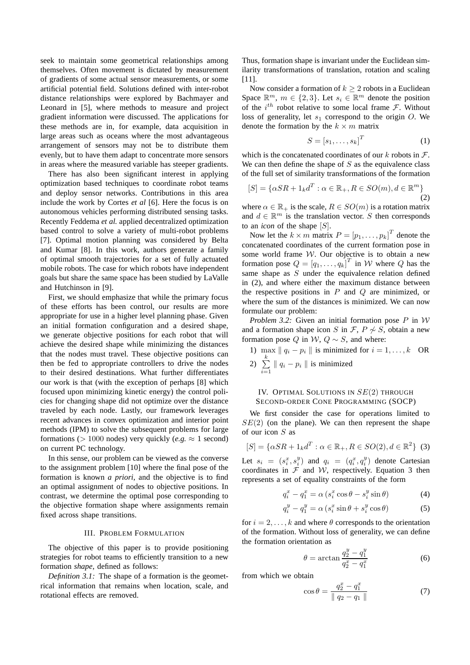seek to maintain some geometrical relationships among themselves. Often movement is dictated by measurement of gradients of some actual sensor measurements, or some artificial potential field. Solutions defined with inter-robot distance relationships were explored by Bachmayer and Leonard in [5], where methods to measure and project gradient information were discussed. The applications for these methods are in, for example, data acquisition in large areas such as oceans where the most advantageous arrangement of sensors may not be to distribute them evenly, but to have them adapt to concentrate more sensors in areas where the measured variable has steeper gradients.

There has also been significant interest in applying optimization based techniques to coordinate robot teams and deploy sensor networks. Contributions in this area include the work by Cortes *et al* [6]. Here the focus is on autonomous vehicles performing distributed sensing tasks. Recently Feddema *et al.* applied decentralized optimization based control to solve a variety of multi-robot problems [7]. Optimal motion planning was considered by Belta and Kumar [8]. In this work, authors generate a family of optimal smooth trajectories for a set of fully actuated mobile robots. The case for which robots have independent goals but share the same space has been studied by LaValle and Hutchinson in [9].

First, we should emphasize that while the primary focus of these efforts has been control, our results are more appropriate for use in a higher level planning phase. Given an initial formation configuration and a desired shape, we generate objective positions for each robot that will achieve the desired shape while minimizing the distances that the nodes must travel. These objective positions can then be fed to appropriate controllers to drive the nodes to their desired destinations. What further differentiates our work is that (with the exception of perhaps [8] which focused upon minimizing kinetic energy) the control policies for changing shape did not optimize over the distance traveled by each node. Lastly, our framework leverages recent advances in convex optimization and interior point methods (IPM) to solve the subsequent problems for large formations ( $> 1000$  nodes) very quickly (*e.g.*  $\approx 1$  second) on current PC technology.

In this sense, our problem can be viewed as the converse to the assignment problem [10] where the final pose of the formation is known *a priori*, and the objective is to find an optimal assignment of nodes to objective positions. In contrast, we determine the optimal pose corresponding to the objective formation shape where assignments remain fixed across shape transitions.

## III. PROBLEM FORMULATION

The objective of this paper is to provide positioning strategies for robot teams to efficiently transition to a new formation *shape*, defined as follows:

*Definition 3.1:* The shape of a formation is the geometrical information that remains when location, scale, and rotational effects are removed.

Thus, formation shape is invariant under the Euclidean similarity transformations of translation, rotation and scaling [11].

Now consider a formation of  $k \geq 2$  robots in a Euclidean Space  $\mathbb{R}^m$ ,  $m \in \{2,3\}$ . Let  $s_i \in \mathbb{R}^m$  denote the position of the  $i^{th}$  robot relative to some local frame  $\mathcal{F}$ . Without loss of generality, let  $s_1$  correspond to the origin O. We denote the formation by the  $k \times m$  matrix

$$
S = [s_1, \dots, s_k]^T
$$
 (1)

which is the concatenated coordinates of our k robots in  $\mathcal{F}$ . We can then define the shape of  $S$  as the equivalence class of the full set of similarity transformations of the formation

$$
[S] = \{\alpha SR + 1_k d^T : \alpha \in \mathbb{R}_+, R \in SO(m), d \in \mathbb{R}^m\}
$$
\n
$$
(2)
$$

where  $\alpha \in \mathbb{R}_+$  is the scale,  $R \in SO(m)$  is a rotation matrix and  $d \in \mathbb{R}^m$  is the translation vector. S then corresponds to an *icon* of the shape [S].

Now let the  $k \times m$  matrix  $P = [p_1, \dots, p_k]^T$  denote the concatenated coordinates of the current formation pose in some world frame W. Our objective is to obtain a new formation pose  $Q = [q_1, \dots, q_k]^T$  in W where Q has the same shape as S under the equivalence relation defined in (2), and where either the maximum distance between the respective positions in  $P$  and  $Q$  are minimized, or where the sum of the distances is minimized. We can now formulate our problem:

*Problem 3.2:* Given an initial formation pose  $P$  in  $W$ and a formation shape icon S in  $\mathcal{F}$ ,  $P \not\sim S$ , obtain a new formation pose Q in W,  $Q \sim S$ , and where:

1) max  $\|q_i - p_i\|$  is minimized for  $i = 1, ..., k$  OR 2)  $\sum^k$  $\sum_{i=1}$   $\parallel$   $q_i$  –  $p_i$   $\parallel$  is minimized

## IV. OPTIMAL SOLUTIONS IN SE(2) THROUGH SECOND-ORDER CONE PROGRAMMING (SOCP)

We first consider the case for operations limited to  $SE(2)$  (on the plane). We can then represent the shape of our icon S as

$$
[S] = \{ \alpha SR + 1_k d^T : \alpha \in \mathbb{R}_+, R \in SO(2), d \in \mathbb{R}^2 \} \tag{3}
$$

Let  $s_i = (s_i^x, s_i^y)$  and  $q_i = (q_i^x, q_i^y)$  denote Cartesian coordinates in  $\mathcal F$  and  $\mathcal W$ , respectively. Equation 3 then represents a set of equality constraints of the form

$$
q_i^x - q_1^x = \alpha \left( s_i^x \cos \theta - s_i^y \sin \theta \right) \tag{4}
$$

$$
y_i^y - q_1^y = \alpha \left( s_i^x \sin \theta + s_i^y \cos \theta \right) \tag{5}
$$

for  $i = 2, \ldots, k$  and where  $\theta$  corresponds to the orientation of the formation. Without loss of generality, we can define the formation orientation as

$$
\theta = \arctan \frac{q_2^y - q_1^y}{q_2^x - q_1^x} \tag{6}
$$

from which we obtain

 $q$ 

$$
\cos \theta = \frac{q_2^x - q_1^x}{\|q_2 - q_1\|} \tag{7}
$$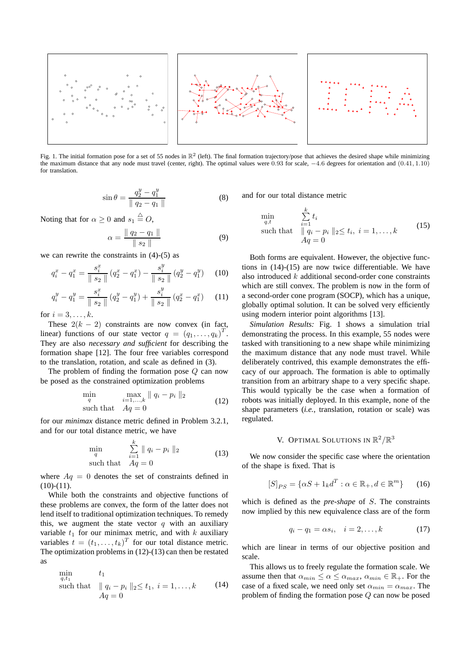

Fig. 1. The initial formation pose for a set of 55 nodes in  $\mathbb{R}^2$  (left). The final formation trajectory/pose that achieves the desired shape while minimizing the maximum distance that any node must travel (center, right). The optimal values were 0.93 for scale, −4.6 degrees for orientation and (0.41, 1.10) for translation.

$$
\sin \theta = \frac{q_2^y - q_1^y}{\|q_2 - q_1\|} \tag{8}
$$

Noting that for  $\alpha \geq 0$  and  $s_1 \stackrel{\triangle}{=} O$ ,

$$
\alpha = \frac{\| q_2 - q_1 \|}{\| s_2 \|} \tag{9}
$$

we can rewrite the constraints in (4)-(5) as

$$
q_i^x - q_1^x = \frac{s_i^x}{\parallel s_2 \parallel} (q_2^x - q_1^x) - \frac{s_i^y}{\parallel s_2 \parallel} (q_2^y - q_1^y) \tag{10}
$$

$$
q_i^y - q_1^y = \frac{s_i^x}{\parallel s_2 \parallel} (q_2^y - q_1^y) + \frac{s_i^y}{\parallel s_2 \parallel} (q_2^x - q_1^x) \tag{11}
$$

for  $i = 3, \ldots, k$ .

These  $2(k - 2)$  constraints are now convex (in fact, linear) functions of our state vector  $q = (q_1, \ldots, q_k)^T$ . They are also *necessary and sufficient* for describing the formation shape [12]. The four free variables correspond to the translation, rotation, and scale as defined in (3).

The problem of finding the formation pose  $Q$  can now be posed as the constrained optimization problems

$$
\min_{q} \max_{i=1,\ldots,k} \|q_i - p_i\|_2
$$
\n
$$
\text{such that} \quad Aq = 0 \tag{12}
$$

for our *minimax* distance metric defined in Problem 3.2.1, and for our total distance metric, we have

$$
\min_{q} \sum_{i=1}^{k} \|q_i - p_i\|_2
$$
\nsuch that

\n
$$
Aq = 0
$$
\n(13)

where  $Aq = 0$  denotes the set of constraints defined in  $(10)-(11)$ .

While both the constraints and objective functions of these problems are convex, the form of the latter does not lend itself to traditional optimization techniques. To remedy this, we augment the state vector  $q$  with an auxiliary variable  $t_1$  for our minimax metric, and with k auxiliary variables  $t = (t_1, \ldots, t_k)^T$  for our total distance metric. The optimization problems in (12)-(13) can then be restated as

$$
\begin{array}{ll}\n\min_{q, t_1} & t_1 \\
\text{such that} & \| q_i - p_i \|_2 \le t_1, \ i = 1, \dots, k \\
Aq = 0\n\end{array} \tag{14}
$$

and for our total distance metric

$$
\min_{q,t} \qquad \sum_{i=1}^{k} t_i
$$
\n
$$
\text{such that} \quad ||q_i - p_i||_2 \le t_i, \ i = 1, \dots, k
$$
\n
$$
Aq = 0
$$
\n
$$
(15)
$$

Both forms are equivalent. However, the objective functions in (14)-(15) are now twice differentiable. We have also introduced  $k$  additional second-order cone constraints which are still convex. The problem is now in the form of a second-order cone program (SOCP), which has a unique, globally optimal solution. It can be solved very efficiently using modern interior point algorithms [13].

*Simulation Results:* Fig. 1 shows a simulation trial demonstrating the process. In this example, 55 nodes were tasked with transitioning to a new shape while minimizing the maximum distance that any node must travel. While deliberately contrived, this example demonstrates the efficacy of our approach. The formation is able to optimally transition from an arbitrary shape to a very specific shape. This would typically be the case when a formation of robots was initially deployed. In this example, none of the shape parameters (*i.e.*, translation, rotation or scale) was regulated.

# V. OPTIMAL SOLUTIONS IN  $\mathbb{R}^2/\mathbb{R}^3$

We now consider the specific case where the orientation of the shape is fixed. That is

$$
[S]_{PS} = \{\alpha S + 1_k d^T : \alpha \in \mathbb{R}_+, d \in \mathbb{R}^m\} \qquad (16)
$$

which is defined as the *pre-shape* of S. The constraints now implied by this new equivalence class are of the form

$$
q_i - q_1 = \alpha s_i, \quad i = 2, \dots, k \tag{17}
$$

which are linear in terms of our objective position and scale.

This allows us to freely regulate the formation scale. We assume then that  $\alpha_{min} \leq \alpha \leq \alpha_{max}, \alpha_{min} \in \mathbb{R}_+$ . For the case of a fixed scale, we need only set  $\alpha_{min} = \alpha_{max}$ . The problem of finding the formation pose Q can now be posed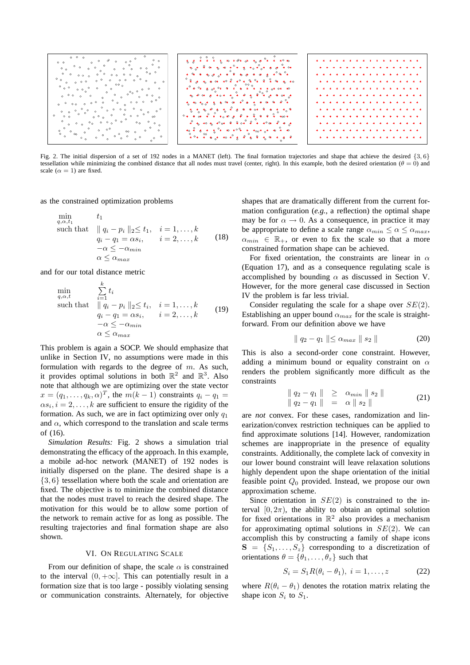

Fig. 2. The initial dispersion of a set of 192 nodes in a MANET (left). The final formation trajectories and shape that achieve the desired {3, 6} tessellation while minimizing the combined distance that all nodes must travel (center, right). In this example, both the desired orientation ( $\theta = 0$ ) and scale  $(\alpha = 1)$  are fixed.

as the constrained optimization problems

$$
\min_{q,\alpha,t_1} \qquad t_1
$$
\n
$$
\text{such that} \quad ||q_i - p_i||_2 \le t_1, \quad i = 1,\dots,k
$$
\n
$$
q_i - q_1 = \alpha s_i, \qquad i = 2,\dots,k
$$
\n
$$
-\alpha \le -\alpha_{\min}
$$
\n
$$
\alpha \le \alpha_{\max}
$$
\n(18)

and for our total distance metric

 $\mathbf{r}$ 

$$
\min_{q,\alpha,t} \qquad \sum_{i=1}^{k} t_i
$$
\n
$$
\text{such that} \quad ||q_i - p_i||_2 \le t_i, \quad i = 1, \dots, k
$$
\n
$$
q_i - q_1 = \alpha s_i, \qquad i = 2, \dots, k
$$
\n
$$
-\alpha \le -\alpha_{\min}
$$
\n
$$
\alpha \le \alpha_{\max}
$$
\n(19)

This problem is again a SOCP. We should emphasize that unlike in Section IV, no assumptions were made in this formulation with regards to the degree of  $m$ . As such, it provides optimal solutions in both  $\mathbb{R}^2$  and  $\mathbb{R}^3$ . Also note that although we are optimizing over the state vector  $x = (q_1, \dots, q_k, \alpha)^T$ , the  $m(k-1)$  constraints  $q_i - q_1 =$  $\alpha s_i$ ,  $i = 2, \dots, k$  are sufficient to ensure the rigidity of the formation. As such, we are in fact optimizing over only  $q_1$ and  $\alpha$ , which correspond to the translation and scale terms of (16).

*Simulation Results:* Fig. 2 shows a simulation trial demonstrating the efficacy of the approach. In this example, a mobile ad-hoc network (MANET) of 192 nodes is initially dispersed on the plane. The desired shape is a {3, 6} tessellation where both the scale and orientation are fixed. The objective is to minimize the combined distance that the nodes must travel to reach the desired shape. The motivation for this would be to allow some portion of the network to remain active for as long as possible. The resulting trajectories and final formation shape are also shown.

#### VI. ON REGULATING SCALE

From our definition of shape, the scale  $\alpha$  is constrained to the interval  $(0, +\infty)$ . This can potentially result in a formation size that is too large - possibly violating sensing or communication constraints. Alternately, for objective shapes that are dramatically different from the current formation configuration (*e.g.*, a reflection) the optimal shape may be for  $\alpha \to 0$ . As a consequence, in practice it may be appropriate to define a scale range  $\alpha_{min} \leq \alpha \leq \alpha_{max}$ ,  $\alpha_{min} \in \mathbb{R}_+$ , or even to fix the scale so that a more constrained formation shape can be achieved.

For fixed orientation, the constraints are linear in  $\alpha$ (Equation 17), and as a consequence regulating scale is accomplished by bounding  $\alpha$  as discussed in Section V. However, for the more general case discussed in Section IV the problem is far less trivial.

Consider regulating the scale for a shape over  $SE(2)$ . Establishing an upper bound  $\alpha_{max}$  for the scale is straightforward. From our definition above we have

$$
\| q_2 - q_1 \| \le \alpha_{max} \| s_2 \| \tag{20}
$$

This is also a second-order cone constraint. However, adding a minimum bound or equality constraint on  $\alpha$ renders the problem significantly more difficult as the constraints

$$
\begin{array}{rcl} \| q_2 - q_1 \| & \geq & \alpha_{min} \, \| \, s_2 \, \| \\ \| q_2 - q_1 \| & = & \alpha \, \| \, s_2 \, \| \end{array} \tag{21}
$$

are *not* convex. For these cases, randomization and linearization/convex restriction techniques can be applied to find approximate solutions [14]. However, randomization schemes are inappropriate in the presence of equality constraints. Additionally, the complete lack of convexity in our lower bound constraint will leave relaxation solutions highly dependent upon the shape orientation of the initial feasible point  $Q_0$  provided. Instead, we propose our own approximation scheme.

Since orientation in  $SE(2)$  is constrained to the interval  $[0, 2\pi)$ , the ability to obtain an optimal solution for fixed orientations in  $\mathbb{R}^2$  also provides a mechanism for approximating optimal solutions in  $SE(2)$ . We can accomplish this by constructing a family of shape icons  $S = \{S_1, \ldots, S_z\}$  corresponding to a discretization of orientations  $\theta = {\theta_1, \ldots, \theta_z}$  such that

$$
S_i = S_1 R(\theta_i - \theta_1), \ i = 1, \dots, z \tag{22}
$$

where  $R(\theta_i - \theta_1)$  denotes the rotation matrix relating the shape icon  $S_i$  to  $S_1$ .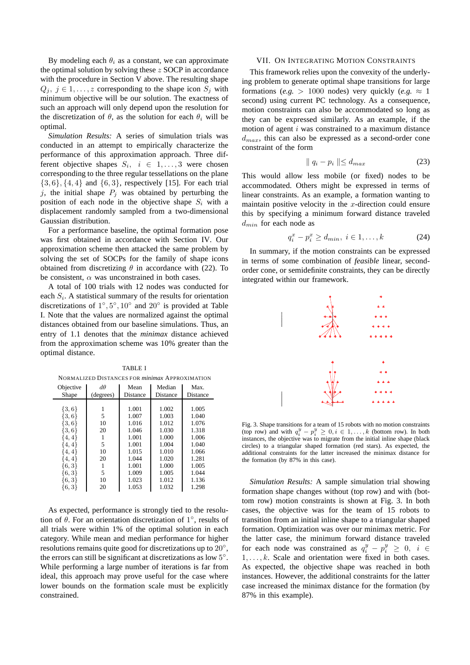By modeling each  $\theta_i$  as a constant, we can approximate the optimal solution by solving these  $z$  SOCP in accordance with the procedure in Section V above. The resulting shape  $Q_j, j \in 1, \ldots, z$  corresponding to the shape icon  $S_j$  with minimum objective will be our solution. The exactness of such an approach will only depend upon the resolution for the discretization of  $\theta$ , as the solution for each  $\theta_i$  will be optimal.

*Simulation Results:* A series of simulation trials was conducted in an attempt to empirically characterize the performance of this approximation approach. Three different objective shapes  $S_i$ ,  $i \in 1, ..., 3$  were chosen corresponding to the three regular tessellations on the plane  $\{3, 6\}, \{4, 4\}$  and  $\{6, 3\}$ , respectively [15]. For each trial j, the initial shape  $P_i$  was obtained by perturbing the position of each node in the objective shape  $S_i$  with a displacement randomly sampled from a two-dimensional Gaussian distribution.

For a performance baseline, the optimal formation pose was first obtained in accordance with Section IV. Our approximation scheme then attacked the same problem by solving the set of SOCPs for the family of shape icons obtained from discretizing  $\theta$  in accordance with (22). To be consistent,  $\alpha$  was unconstrained in both cases.

A total of 100 trials with 12 nodes was conducted for each  $S_i$ . A statistical summary of the results for orientation discretizations of  $1^\circ, 5^\circ, 10^\circ$  and  $20^\circ$  is provided at Table I. Note that the values are normalized against the optimal distances obtained from our baseline simulations. Thus, an entry of 1.1 denotes that the *minimax* distance achieved from the approximation scheme was 10% greater than the optimal distance.

| NORMALIZED DISTANCES FOR <i>minimax</i> APPROXIMATION |                        |                  |                    |                  |
|-------------------------------------------------------|------------------------|------------------|--------------------|------------------|
| Objective<br><b>Shape</b>                             | $d\theta$<br>(degrees) | Mean<br>Distance | Median<br>Distance | Max.<br>Distance |
|                                                       |                        |                  |                    |                  |
| $\{3,6\}$                                             |                        | 1.001            | 1.002              | 1.005            |
| $\{3,6\}$                                             | 5                      | 1.007            | 1.003              | 1.040            |
| $\{3,6\}$                                             | 10                     | 1.016            | 1.012              | 1.076            |
| 3,6                                                   | 20                     | 1.046            | 1.030              | 1.318            |
| 4,4                                                   |                        | 1.001            | 1.000              | 1.006            |
| 4,4                                                   | 5                      | 1.001            | 1.004              | 1.040            |
| 4,4                                                   | 10                     | 1.015            | 1.010              | 1.066            |
| 4,4                                                   | 20                     | 1.044            | 1.020              | 1.281            |
| [6, 3]                                                |                        | 1.001            | 1.000              | 1.005            |
| 6,3                                                   | 5                      | 1.009            | 1.005              | 1.044            |
| $\{6,3\}$                                             | 10                     | 1.023            | 1.012              | 1.136            |
| $\{6,3\}$                                             | 20                     | 1.053            | 1.032              | 1.298            |

TABLE I NORMALIZED DISTANCES FOR *minimax* APPROXIMATION

As expected, performance is strongly tied to the resolution of  $\hat{\theta}$ . For an orientation discretization of  $1^{\circ}$ , results of all trials were within 1% of the optimal solution in each category. While mean and median performance for higher resolutions remains quite good for discretizations up to  $20^{\circ}$ , the errors can still be significant at discretizations as low  $5^\circ$ . While performing a large number of iterations is far from ideal, this approach may prove useful for the case where lower bounds on the formation scale must be explicitly constrained.

## VII. ON INTEGRATING MOTION CONSTRAINTS

This framework relies upon the convexity of the underlying problem to generate optimal shape transitions for large formations (*e.g.* > 1000 nodes) very quickly (*e.g.*  $\approx$  1 second) using current PC technology. As a consequence, motion constraints can also be accommodated so long as they can be expressed similarly. As an example, if the motion of agent i was constrained to a maximum distance  $d_{max}$ , this can also be expressed as a second-order cone constraint of the form

$$
\parallel q_i - p_i \parallel \leq d_{max} \tag{23}
$$

This would allow less mobile (or fixed) nodes to be accommodated. Others might be expressed in terms of linear constraints. As an example, a formation wanting to maintain positive velocity in the  $x$ -direction could ensure this by specifying a minimum forward distance traveled  $d_{min}$  for each node as

$$
q_i^x - p_i^x \ge d_{min}, \ i \in 1, \dots, k \tag{24}
$$

In summary, if the motion constraints can be expressed in terms of some combination of *feasible* linear, secondorder cone, or semidefinite constraints, they can be directly integrated within our framework.



Fig. 3. Shape transitions for a team of 15 robots with no motion constraints (top row) and with  $q_i^y - p_i^y \geq 0, i \in 1, \ldots, k$  (bottom row). In both instances, the objective was to migrate from the initial inline shape (black circles) to a triangular shaped formation (red stars). As expected, the additional constraints for the latter increased the minimax distance for the formation (by 87% in this case).

*Simulation Results:* A sample simulation trial showing formation shape changes without (top row) and with (bottom row) motion constraints is shown at Fig. 3. In both cases, the objective was for the team of 15 robots to transition from an initial inline shape to a triangular shaped formation. Optimization was over our minimax metric. For the latter case, the minimum forward distance traveled for each node was constrained as  $q_i^y - p_i^y \geq 0$ ,  $i \in$  $1, \ldots, k$ . Scale and orientation were fixed in both cases. As expected, the objective shape was reached in both instances. However, the additional constraints for the latter case increased the minimax distance for the formation (by 87% in this example).